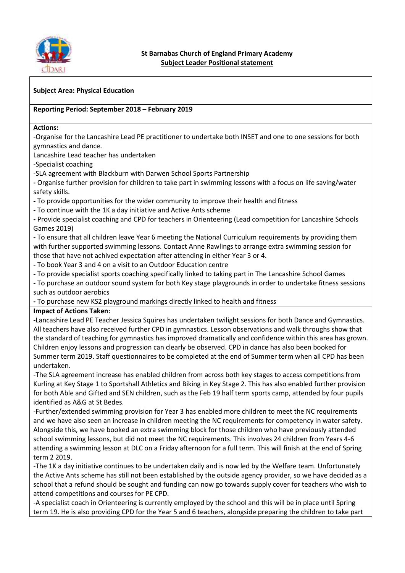

#### **Subject Area: Physical Education**

#### **Reporting Period: September 2018 – February 2019**

**Actions:**

-Organise for the Lancashire Lead PE practitioner to undertake both INSET and one to one sessions for both gymnastics and dance.

Lancashire Lead teacher has undertaken

-Specialist coaching

-SLA agreement with Blackburn with Darwen School Sports Partnership

**-** Organise further provision for children to take part in swimming lessons with a focus on life saving/water safety skills.

**-** To provide opportunities for the wider community to improve their health and fitness

**-** To continue with the 1K a day initiative and Active Ants scheme

**-** Provide specialist coaching and CPD for teachers in Orienteering (Lead competition for Lancashire Schools Games 2019)

**-** To ensure that all children leave Year 6 meeting the National Curriculum requirements by providing them with further supported swimming lessons. Contact Anne Rawlings to arrange extra swimming session for those that have not achived expectation after attending in either Year 3 or 4.

**-** To book Year 3 and 4 on a visit to an Outdoor Education centre

**-** To provide specialist sports coaching specifically linked to taking part in The Lancashire School Games

**-** To purchase an outdoor sound system for both Key stage playgrounds in order to undertake fitness sessions such as outdoor aerobics

**-** To purchase new KS2 playground markings directly linked to health and fitness

#### **Impact of Actions Taken:**

**-**Lancashire Lead PE Teacher Jessica Squires has undertaken twilight sessions for both Dance and Gymnastics. All teachers have also received further CPD in gymnastics. Lesson observations and walk throughs show that the standard of teaching for gymnastics has improved dramatically and confidence within this area has grown. Children enjoy lessons and progression can clearly be observed. CPD in dance has also been booked for Summer term 2019. Staff questionnaires to be completed at the end of Summer term when all CPD has been undertaken.

-The SLA agreement increase has enabled children from across both key stages to access competitions from Kurling at Key Stage 1 to Sportshall Athletics and Biking in Key Stage 2. This has also enabled further provision for both Able and Gifted and SEN children, such as the Feb 19 half term sports camp, attended by four pupils identified as A&G at St Bedes.

-Further/extended swimming provision for Year 3 has enabled more children to meet the NC requirements and we have also seen an increase in children meeting the NC requirements for competency in water safety. Alongside this, we have booked an extra swimming block for those children who have previously attended school swimming lessons, but did not meet the NC requirements. This involves 24 children from Years 4-6 attending a swimming lesson at DLC on a Friday afternoon for a full term. This will finish at the end of Spring term 2 2019.

-The 1K a day initiative continues to be undertaken daily and is now led by the Welfare team. Unfortunately the Active Ants scheme has still not been established by the outside agency provider, so we have decided as a school that a refund should be sought and funding can now go towards supply cover for teachers who wish to attend competitions and courses for PE CPD.

-A specialist coach in Orienteering is currently employed by the school and this will be in place until Spring term 19. He is also providing CPD for the Year 5 and 6 teachers, alongside preparing the children to take part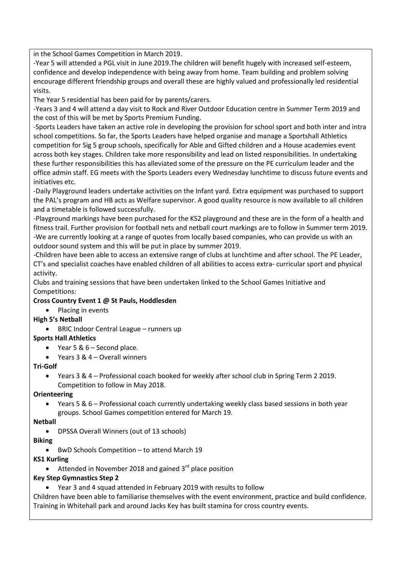in the School Games Competition in March 2019.

-Year 5 will attended a PGL visit in June 2019.The children will benefit hugely with increased self-esteem, confidence and develop independence with being away from home. Team building and problem solving encourage different friendship groups and overall these are highly valued and professionally led residential visits.

The Year 5 residential has been paid for by parents/carers.

-Years 3 and 4 will attend a day visit to Rock and River Outdoor Education centre in Summer Term 2019 and the cost of this will be met by Sports Premium Funding.

-Sports Leaders have taken an active role in developing the provision for school sport and both inter and intra school competitions. So far, the Sports Leaders have helped organise and manage a Sportshall Athletics competition for Sig 5 group schools, specifically for Able and Gifted children and a House academies event across both key stages. Children take more responsibility and lead on listed responsibilities. In undertaking these further responsibilities this has alleviated some of the pressure on the PE curriculum leader and the office admin staff. EG meets with the Sports Leaders every Wednesday lunchtime to discuss future events and initiatives etc.

-Daily Playground leaders undertake activities on the Infant yard. Extra equipment was purchased to support the PAL's program and HB acts as Welfare supervisor. A good quality resource is now available to all children and a timetable is followed successfully.

-Playground markings have been purchased for the KS2 playground and these are in the form of a health and fitness trail. Further provision for football nets and netball court markings are to follow in Summer term 2019. -We are currently looking at a range of quotes from locally based companies, who can provide us with an outdoor sound system and this will be put in place by summer 2019.

-Children have been able to access an extensive range of clubs at lunchtime and after school. The PE Leader, CT's and specialist coaches have enabled children of all abilities to access extra- curricular sport and physical activity.

Clubs and training sessions that have been undertaken linked to the School Games Initiative and Competitions:

## **Cross Country Event 1 @ St Pauls, Hoddlesden**

• Placing in events

## **High 5's Netball**

• BRIC Indoor Central League – runners up

## **Sports Hall Athletics**

- Year 5 & 6 Second place.
- Years 3 & 4 Overall winners

# **Tri-Golf**

 Years 3 & 4 – Professional coach booked for weekly after school club in Spring Term 2 2019. Competition to follow in May 2018.

## **Orienteering**

 Years 5 & 6 – Professional coach currently undertaking weekly class based sessions in both year groups. School Games competition entered for March 19.

## **Netball**

DPSSA Overall Winners (out of 13 schools)

## **Biking**

• BwD Schools Competition – to attend March 19

# **KS1 Kurling**

 $\bullet$  Attended in November 2018 and gained 3<sup>rd</sup> place position

# **Key Step Gymnastics Step 2**

Year 3 and 4 squad attended in February 2019 with results to follow

Children have been able to familiarise themselves with the event environment, practice and build confidence. Training in Whitehall park and around Jacks Key has built stamina for cross country events.